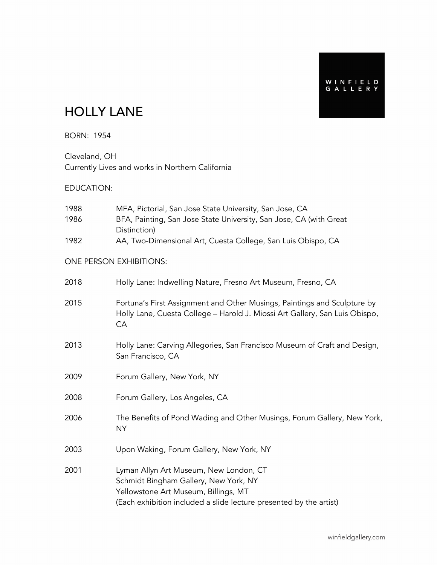## HOLLY LANE

BORN: 1954

Cleveland, OH Currently Lives and works in Northern California

#### EDUCATION:

| 1988<br>1986 | MFA, Pictorial, San Jose State University, San Jose, CA<br>BFA, Painting, San Jose State University, San Jose, CA (with Great<br>Distinction)                                                 |
|--------------|-----------------------------------------------------------------------------------------------------------------------------------------------------------------------------------------------|
| 1982         | AA, Two-Dimensional Art, Cuesta College, San Luis Obispo, CA                                                                                                                                  |
|              | ONE PERSON EXHIBITIONS:                                                                                                                                                                       |
| 2018         | Holly Lane: Indwelling Nature, Fresno Art Museum, Fresno, CA                                                                                                                                  |
| 2015         | Fortuna's First Assignment and Other Musings, Paintings and Sculpture by<br>Holly Lane, Cuesta College - Harold J. Miossi Art Gallery, San Luis Obispo,<br>CA                                 |
| 2013         | Holly Lane: Carving Allegories, San Francisco Museum of Craft and Design,<br>San Francisco, CA                                                                                                |
| 2009         | Forum Gallery, New York, NY                                                                                                                                                                   |
| 2008         | Forum Gallery, Los Angeles, CA                                                                                                                                                                |
| 2006         | The Benefits of Pond Wading and Other Musings, Forum Gallery, New York,<br><b>NY</b>                                                                                                          |
| 2003         | Upon Waking, Forum Gallery, New York, NY                                                                                                                                                      |
| 2001         | Lyman Allyn Art Museum, New London, CT<br>Schmidt Bingham Gallery, New York, NY<br>Yellowstone Art Museum, Billings, MT<br>(Each exhibition included a slide lecture presented by the artist) |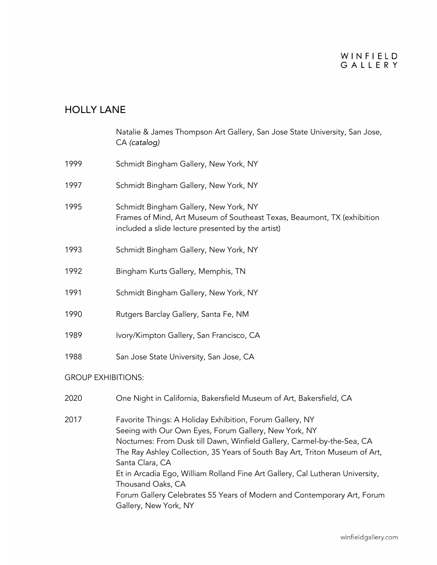#### WINFIELD GALLERY

### HOLLY LANE

 Natalie & James Thompson Art Gallery, San Jose State University, San Jose, CA *(catalog)*

- 1999 Schmidt Bingham Gallery, New York, NY
- 1997 Schmidt Bingham Gallery, New York, NY
- 1995 Schmidt Bingham Gallery, New York, NY Frames of Mind, Art Museum of Southeast Texas, Beaumont, TX (exhibition included a slide lecture presented by the artist)
- 1993 Schmidt Bingham Gallery, New York, NY
- 1992 Bingham Kurts Gallery, Memphis, TN
- 1991 Schmidt Bingham Gallery, New York, NY
- 1990 Rutgers Barclay Gallery, Santa Fe, NM
- 1989 Ivory/Kimpton Gallery, San Francisco, CA
- 1988 San Jose State University, San Jose, CA

#### GROUP EXHIBITIONS:

- 2020 One Night in California, Bakersfield Museum of Art, Bakersfield, CA
- 2017 Favorite Things: A Holiday Exhibition, Forum Gallery, NY Seeing with Our Own Eyes, Forum Gallery, New York, NY Nocturnes: From Dusk till Dawn, Winfield Gallery, Carmel-by-the-Sea, CA The Ray Ashley Collection, 35 Years of South Bay Art, Triton Museum of Art, Santa Clara, CA Et in Arcadia Ego, William Rolland Fine Art Gallery, Cal Lutheran University, Thousand Oaks, CA Forum Gallery Celebrates 55 Years of Modern and Contemporary Art, Forum Gallery, New York, NY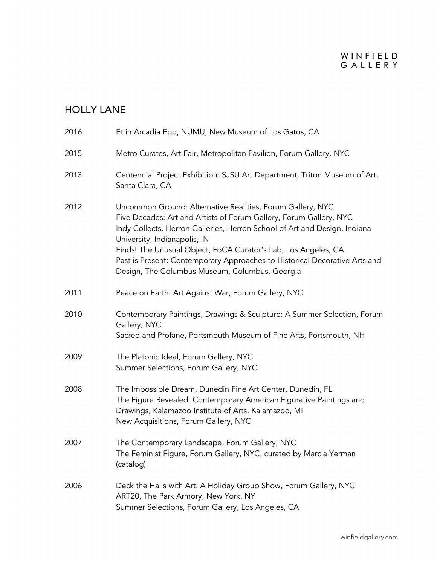| 2016 | Et in Arcadia Ego, NUMU, New Museum of Los Gatos, CA                                                                                                                                                                                                                                                                                                                                                                                            |
|------|-------------------------------------------------------------------------------------------------------------------------------------------------------------------------------------------------------------------------------------------------------------------------------------------------------------------------------------------------------------------------------------------------------------------------------------------------|
| 2015 | Metro Curates, Art Fair, Metropolitan Pavilion, Forum Gallery, NYC                                                                                                                                                                                                                                                                                                                                                                              |
| 2013 | Centennial Project Exhibition: SJSU Art Department, Triton Museum of Art,<br>Santa Clara, CA                                                                                                                                                                                                                                                                                                                                                    |
| 2012 | Uncommon Ground: Alternative Realities, Forum Gallery, NYC<br>Five Decades: Art and Artists of Forum Gallery, Forum Gallery, NYC<br>Indy Collects, Herron Galleries, Herron School of Art and Design, Indiana<br>University, Indianapolis, IN<br>Finds! The Unusual Object, FoCA Curator's Lab, Los Angeles, CA<br>Past is Present: Contemporary Approaches to Historical Decorative Arts and<br>Design, The Columbus Museum, Columbus, Georgia |
| 2011 | Peace on Earth: Art Against War, Forum Gallery, NYC                                                                                                                                                                                                                                                                                                                                                                                             |
| 2010 | Contemporary Paintings, Drawings & Sculpture: A Summer Selection, Forum<br>Gallery, NYC<br>Sacred and Profane, Portsmouth Museum of Fine Arts, Portsmouth, NH                                                                                                                                                                                                                                                                                   |
| 2009 | The Platonic Ideal, Forum Gallery, NYC<br>Summer Selections, Forum Gallery, NYC                                                                                                                                                                                                                                                                                                                                                                 |
| 2008 | The Impossible Dream, Dunedin Fine Art Center, Dunedin, FL<br>The Figure Revealed: Contemporary American Figurative Paintings and<br>Drawings, Kalamazoo Institute of Arts, Kalamazoo, MI<br>New Acquisitions, Forum Gallery, NYC                                                                                                                                                                                                               |
| 2007 | The Contemporary Landscape, Forum Gallery, NYC<br>The Feminist Figure, Forum Gallery, NYC, curated by Marcia Yerman<br>(catalog)                                                                                                                                                                                                                                                                                                                |
| 2006 | Deck the Halls with Art: A Holiday Group Show, Forum Gallery, NYC<br>ART20, The Park Armory, New York, NY<br>Summer Selections, Forum Gallery, Los Angeles, CA                                                                                                                                                                                                                                                                                  |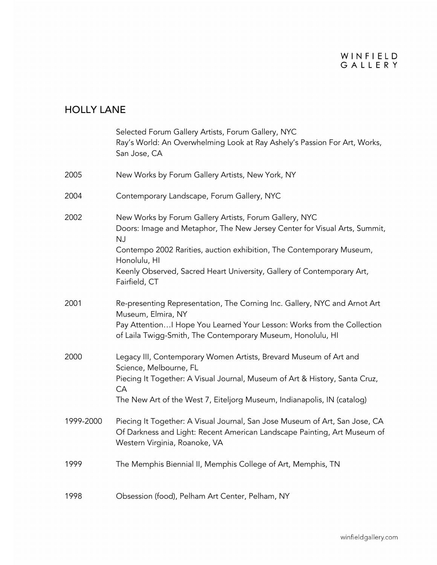|           | Selected Forum Gallery Artists, Forum Gallery, NYC<br>Ray's World: An Overwhelming Look at Ray Ashely's Passion For Art, Works,<br>San Jose, CA                                                                                                                                                                                     |
|-----------|-------------------------------------------------------------------------------------------------------------------------------------------------------------------------------------------------------------------------------------------------------------------------------------------------------------------------------------|
| 2005      | New Works by Forum Gallery Artists, New York, NY                                                                                                                                                                                                                                                                                    |
| 2004      | Contemporary Landscape, Forum Gallery, NYC                                                                                                                                                                                                                                                                                          |
| 2002      | New Works by Forum Gallery Artists, Forum Gallery, NYC<br>Doors: Image and Metaphor, The New Jersey Center for Visual Arts, Summit,<br><b>NJ</b><br>Contempo 2002 Rarities, auction exhibition, The Contemporary Museum,<br>Honolulu, HI<br>Keenly Observed, Sacred Heart University, Gallery of Contemporary Art,<br>Fairfield, CT |
| 2001      | Re-presenting Representation, The Corning Inc. Gallery, NYC and Arnot Art<br>Museum, Elmira, NY<br>Pay Attention I Hope You Learned Your Lesson: Works from the Collection<br>of Laila Twigg-Smith, The Contemporary Museum, Honolulu, HI                                                                                           |
| 2000      | Legacy III, Contemporary Women Artists, Brevard Museum of Art and<br>Science, Melbourne, FL<br>Piecing It Together: A Visual Journal, Museum of Art & History, Santa Cruz,<br><b>CA</b><br>The New Art of the West 7, Eiteljorg Museum, Indianapolis, IN (catalog)                                                                  |
| 1999-2000 | Piecing It Together: A Visual Journal, San Jose Museum of Art, San Jose, CA<br>Of Darkness and Light: Recent American Landscape Painting, Art Museum of<br>Western Virginia, Roanoke, VA                                                                                                                                            |
| 1999      | The Memphis Biennial II, Memphis College of Art, Memphis, TN                                                                                                                                                                                                                                                                        |
| 1998      | Obsession (food), Pelham Art Center, Pelham, NY                                                                                                                                                                                                                                                                                     |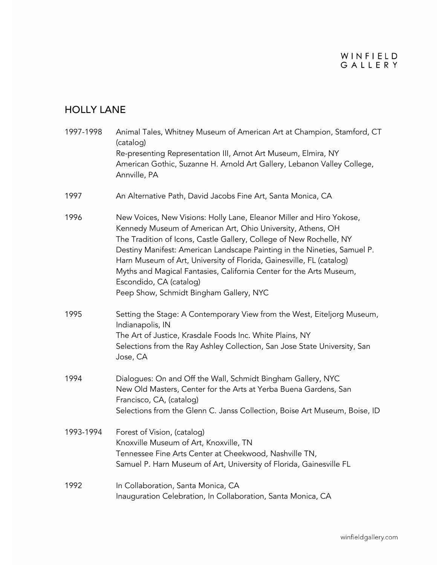| 1997-1998 | Animal Tales, Whitney Museum of American Art at Champion, Stamford, CT<br>(catalog)<br>Re-presenting Representation III, Arnot Art Museum, Elmira, NY<br>American Gothic, Suzanne H. Arnold Art Gallery, Lebanon Valley College,<br>Annville, PA                                                                                                                                                                                                                                                            |
|-----------|-------------------------------------------------------------------------------------------------------------------------------------------------------------------------------------------------------------------------------------------------------------------------------------------------------------------------------------------------------------------------------------------------------------------------------------------------------------------------------------------------------------|
| 1997      | An Alternative Path, David Jacobs Fine Art, Santa Monica, CA                                                                                                                                                                                                                                                                                                                                                                                                                                                |
| 1996      | New Voices, New Visions: Holly Lane, Eleanor Miller and Hiro Yokose,<br>Kennedy Museum of American Art, Ohio University, Athens, OH<br>The Tradition of Icons, Castle Gallery, College of New Rochelle, NY<br>Destiny Manifest: American Landscape Painting in the Nineties, Samuel P.<br>Harn Museum of Art, University of Florida, Gainesville, FL (catalog)<br>Myths and Magical Fantasies, California Center for the Arts Museum,<br>Escondido, CA (catalog)<br>Peep Show, Schmidt Bingham Gallery, NYC |
| 1995      | Setting the Stage: A Contemporary View from the West, Eiteljorg Museum,<br>Indianapolis, IN<br>The Art of Justice, Krasdale Foods Inc. White Plains, NY<br>Selections from the Ray Ashley Collection, San Jose State University, San<br>Jose, CA                                                                                                                                                                                                                                                            |
| 1994      | Dialogues: On and Off the Wall, Schmidt Bingham Gallery, NYC<br>New Old Masters, Center for the Arts at Yerba Buena Gardens, San<br>Francisco, CA, (catalog)<br>Selections from the Glenn C. Janss Collection, Boise Art Museum, Boise, ID                                                                                                                                                                                                                                                                  |
| 1993-1994 | Forest of Vision, (catalog)<br>Knoxville Museum of Art, Knoxville, TN<br>Tennessee Fine Arts Center at Cheekwood, Nashville TN,<br>Samuel P. Harn Museum of Art, University of Florida, Gainesville FL                                                                                                                                                                                                                                                                                                      |
| 1992      | In Collaboration, Santa Monica, CA<br>Inauguration Celebration, In Collaboration, Santa Monica, CA                                                                                                                                                                                                                                                                                                                                                                                                          |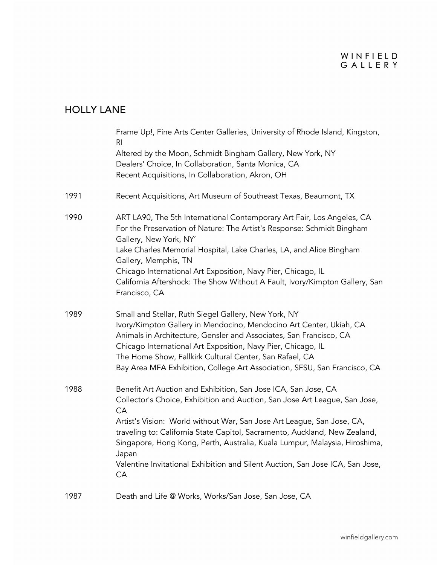|      | Frame Up!, Fine Arts Center Galleries, University of Rhode Island, Kingston,<br>R <sub>l</sub><br>Altered by the Moon, Schmidt Bingham Gallery, New York, NY<br>Dealers' Choice, In Collaboration, Santa Monica, CA<br>Recent Acquisitions, In Collaboration, Akron, OH                                                                                                                                                                                                                  |
|------|------------------------------------------------------------------------------------------------------------------------------------------------------------------------------------------------------------------------------------------------------------------------------------------------------------------------------------------------------------------------------------------------------------------------------------------------------------------------------------------|
| 1991 | Recent Acquisitions, Art Museum of Southeast Texas, Beaumont, TX                                                                                                                                                                                                                                                                                                                                                                                                                         |
| 1990 | ART LA90, The 5th International Contemporary Art Fair, Los Angeles, CA<br>For the Preservation of Nature: The Artist's Response: Schmidt Bingham<br>Gallery, New York, NY'<br>Lake Charles Memorial Hospital, Lake Charles, LA, and Alice Bingham<br>Gallery, Memphis, TN<br>Chicago International Art Exposition, Navy Pier, Chicago, IL<br>California Aftershock: The Show Without A Fault, Ivory/Kimpton Gallery, San<br>Francisco, CA                                                |
| 1989 | Small and Stellar, Ruth Siegel Gallery, New York, NY<br>Ivory/Kimpton Gallery in Mendocino, Mendocino Art Center, Ukiah, CA<br>Animals in Architecture, Gensler and Associates, San Francisco, CA<br>Chicago International Art Exposition, Navy Pier, Chicago, IL<br>The Home Show, Fallkirk Cultural Center, San Rafael, CA<br>Bay Area MFA Exhibition, College Art Association, SFSU, San Francisco, CA                                                                                |
| 1988 | Benefit Art Auction and Exhibition, San Jose ICA, San Jose, CA<br>Collector's Choice, Exhibition and Auction, San Jose Art League, San Jose,<br>CA<br>Artist's Vision: World without War, San Jose Art League, San Jose, CA,<br>traveling to: California State Capitol, Sacramento, Auckland, New Zealand,<br>Singapore, Hong Kong, Perth, Australia, Kuala Lumpur, Malaysia, Hiroshima,<br>Japan<br>Valentine Invitational Exhibition and Silent Auction, San Jose ICA, San Jose,<br>CA |
| 1987 | Death and Life @ Works, Works/San Jose, San Jose, CA                                                                                                                                                                                                                                                                                                                                                                                                                                     |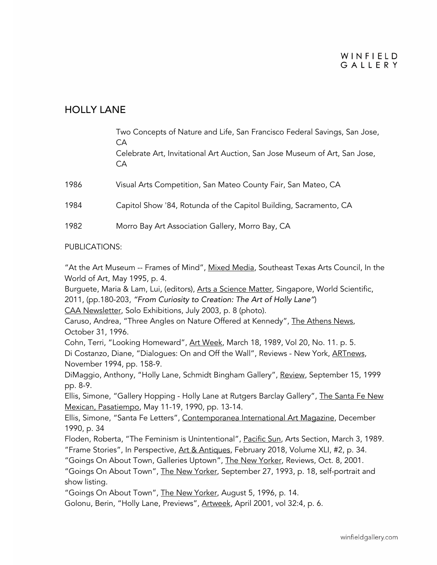#### WINFIELD GALLERY

### HOLLY LANE

|      | Two Concepts of Nature and Life, San Francisco Federal Savings, San Jose,<br>CA<br>Celebrate Art, Invitational Art Auction, San Jose Museum of Art, San Jose,<br>CA |
|------|---------------------------------------------------------------------------------------------------------------------------------------------------------------------|
| 1986 | Visual Arts Competition, San Mateo County Fair, San Mateo, CA                                                                                                       |
| 1984 | Capitol Show '84, Rotunda of the Capitol Building, Sacramento, CA                                                                                                   |
| 1982 | Morro Bay Art Association Gallery, Morro Bay, CA                                                                                                                    |

#### PUBLICATIONS:

"At the Art Museum -- Frames of Mind", Mixed Media, Southeast Texas Arts Council, In the World of Art, May 1995, p. 4.

Burguete, Maria & Lam, Lui, (editors), Arts a Science Matter, Singapore, World Scientific, 2011, (pp.180-203, *"From Curiosity to Creation: The Art of Holly Lane"*)

CAA Newsletter, Solo Exhibitions, July 2003, p. 8 (photo).

Caruso, Andrea, "Three Angles on Nature Offered at Kennedy", The Athens News, October 31, 1996.

Cohn, Terri, "Looking Homeward", Art Week, March 18, 1989, Vol 20, No. 11. p. 5. Di Costanzo, Diane, "Dialogues: On and Off the Wall", Reviews - New York, ARTnews, November 1994, pp. 158-9.

DiMaggio, Anthony, "Holly Lane, Schmidt Bingham Gallery", Review, September 15, 1999 pp. 8-9.

Ellis, Simone, "Gallery Hopping - Holly Lane at Rutgers Barclay Gallery", The Santa Fe New Mexican, Pasatiempo, May 11-19, 1990, pp. 13-14.

Ellis, Simone, "Santa Fe Letters", Contemporanea International Art Magazine, December 1990, p. 34

Floden, Roberta, "The Feminism is Unintentional", Pacific Sun, Arts Section, March 3, 1989. "Frame Stories", In Perspective, Art & Antiques, February 2018, Volume XLI, #2, p. 34.

"Goings On About Town, Galleries Uptown", The New Yorker, Reviews, Oct. 8, 2001.

"Goings On About Town", The New Yorker, September 27, 1993, p. 18, self-portrait and show listing.

"Goings On About Town", The New Yorker, August 5, 1996, p. 14.

Golonu, Berin, "Holly Lane, Previews", Artweek, April 2001, vol 32:4, p. 6.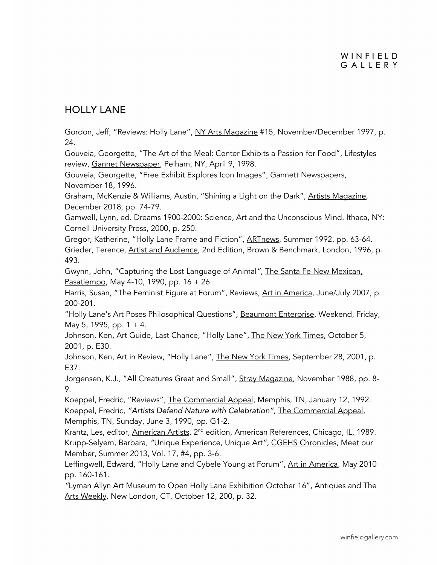### HOLLY LANE

Gordon, Jeff, "Reviews: Holly Lane", NY Arts Magazine #15, November/December 1997, p. 24.

Gouveia, Georgette, "The Art of the Meal: Center Exhibits a Passion for Food", Lifestyles review, Gannet Newspaper, Pelham, NY, April 9, 1998.

Gouveia, Georgette, "Free Exhibit Explores Icon Images", Gannett Newspapers, November 18, 1996.

Graham, McKenzie & Williams, Austin, "Shining a Light on the Dark", Artists Magazine*,*  December 2018, pp. 74-79.

Gamwell, Lynn, ed. Dreams 1900-2000: Science, Art and the Unconscious Mind. Ithaca, NY: Cornell University Press, 2000, p. 250.

Gregor, Katherine, "Holly Lane Frame and Fiction", ARTnews, Summer 1992, pp. 63-64. Grieder, Terence, Artist and Audience, 2nd Edition, Brown & Benchmark, London, 1996, p. 493.

Gwynn, John, "Capturing the Lost Language of Animal*"*, The Santa Fe New Mexican, Pasatiempo, May 4-10, 1990, pp. 16 + 26.

Harris, Susan, "The Feminist Figure at Forum", Reviews, Art in America, June/July 2007, p. 200-201.

"Holly Lane's Art Poses Philosophical Questions"*,* Beaumont Enterprise, Weekend, Friday, May 5, 1995, pp.  $1 + 4$ .

Johnson, Ken, Art Guide, Last Chance, "Holly Lane", The New York Times, October 5, 2001, p. E30.

Johnson, Ken, Art in Review, "Holly Lane", The New York Times, September 28, 2001, p. E37.

Jorgensen, K.J., "All Creatures Great and Small", Stray Magazine, November 1988, pp. 8-9.

Koeppel, Fredric, "Reviews", The Commercial Appeal, Memphis, TN, January 12, 1992. Koeppel, Fredric, *"Artists Defend Nature with Celebration",* The Commercial Appeal, Memphis, TN, Sunday, June 3, 1990, pp. G1-2.

Krantz, Les, editor, American Artists, 2<sup>nd</sup> edition, American References, Chicago, IL, 1989. Krupp-Selyem, Barbara, *"*Unique Experience*,* Unique Art*",* CGEHS Chronicles, Meet our Member, Summer 2013, Vol. 17, #4, pp. 3-6.

Leffingwell, Edward, "Holly Lane and Cybele Young at Forum", Art in America, May 2010 pp. 160-161.

*"*Lyman Allyn Art Museum to Open Holly Lane Exhibition October 16", Antiques and The Arts Weekly*,* New London, CT, October 12, 200, p. 32.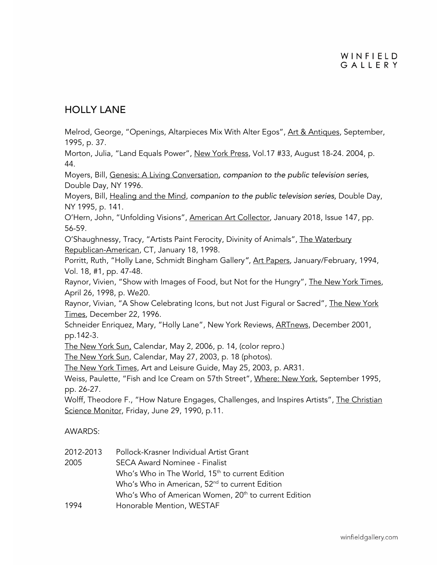### HOLLY LANE

Melrod, George, "Openings, Altarpieces Mix With Alter Egos", Art & Antiques, September, 1995, p. 37.

Morton, Julia, "Land Equals Power", New York Press, Vol.17 #33, August 18-24. 2004, p. 44.

Moyers, Bill, Genesis: A Living Conversation*, companion to the public television series,*  Double Day, NY 1996.

Moyers, Bill, Healing and the Mind, *companion to the public television series,* Double Day, NY 1995, p. 141.

O'Hern, John, "Unfolding Visions", American Art Collector, January 2018, Issue 147, pp. 56-59.

O'Shaughnessy, Tracy, "Artists Paint Ferocity, Divinity of Animals", The Waterbury Republican-American, CT, January 18, 1998.

Porritt, Ruth, "Holly Lane, Schmidt Bingham Gallery*"*, Art Papers, January/February, 1994, Vol. 18, #1, pp. 47-48.

Raynor, Vivien, "Show with Images of Food, but Not for the Hungry", The New York Times, April 26, 1998, p. We20.

Raynor, Vivian, "A Show Celebrating Icons, but not Just Figural or Sacred", The New York Times, December 22, 1996.

Schneider Enriquez, Mary, "Holly Lane", New York Reviews, ARTnews, December 2001, pp.142-3.

The New York Sun, Calendar, May 2, 2006, p. 14, (color repro.)

The New York Sun, Calendar, May 27, 2003, p. 18 (photos).

The New York Times, Art and Leisure Guide, May 25, 2003, p. AR31.

Weiss, Paulette, "Fish and Ice Cream on 57th Street", Where: New York, September 1995, pp. 26-27.

Wolff, Theodore F., "How Nature Engages, Challenges, and Inspires Artists", The Christian Science Monitor, Friday, June 29, 1990, p.11.

AWARDS:

| 2012-2013 | Pollock-Krasner Individual Artist Grant                          |
|-----------|------------------------------------------------------------------|
| 2005      | <b>SECA Award Nominee - Finalist</b>                             |
|           | Who's Who in The World, 15 <sup>th</sup> to current Edition      |
|           | Who's Who in American, 52 <sup>nd</sup> to current Edition       |
|           | Who's Who of American Women, 20 <sup>th</sup> to current Edition |
| 1994      | Honorable Mention, WESTAF                                        |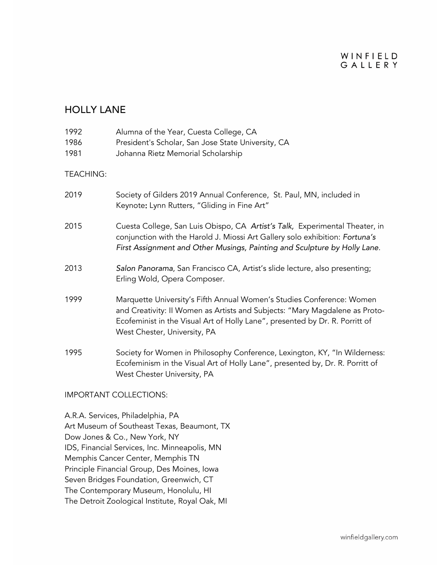#### WINFIELD GALLERY

### HOLLY LANE

| 1992<br>1986<br>1981          | Alumna of the Year, Cuesta College, CA<br>President's Scholar, San Jose State University, CA<br>Johanna Rietz Memorial Scholarship                                                                                                                                   |
|-------------------------------|----------------------------------------------------------------------------------------------------------------------------------------------------------------------------------------------------------------------------------------------------------------------|
| <b>TEACHING:</b>              |                                                                                                                                                                                                                                                                      |
| 2019                          | Society of Gilders 2019 Annual Conference, St. Paul, MN, included in<br>Keynote: Lynn Rutters, "Gliding in Fine Art"                                                                                                                                                 |
| 2015                          | Cuesta College, San Luis Obispo, CA Artist's Talk, Experimental Theater, in<br>conjunction with the Harold J. Miossi Art Gallery solo exhibition: Fortuna's<br>First Assignment and Other Musings, Painting and Sculpture by Holly Lane.                             |
| 2013                          | Salon Panorama, San Francisco CA, Artist's slide lecture, also presenting;<br>Erling Wold, Opera Composer.                                                                                                                                                           |
| 1999                          | Marquette University's Fifth Annual Women's Studies Conference: Women<br>and Creativity: II Women as Artists and Subjects: "Mary Magdalene as Proto-<br>Ecofeminist in the Visual Art of Holly Lane", presented by Dr. R. Porritt of<br>West Chester, University, PA |
| 1995                          | Society for Women in Philosophy Conference, Lexington, KY, "In Wilderness:<br>Ecofeminism in the Visual Art of Holly Lane", presented by, Dr. R. Porritt of<br>West Chester University, PA                                                                           |
| <b>IMPORTANT COLLECTIONS:</b> |                                                                                                                                                                                                                                                                      |

A.R.A. Services, Philadelphia, PA Art Museum of Southeast Texas, Beaumont, TX Dow Jones & Co., New York, NY IDS, Financial Services, Inc. Minneapolis, MN Memphis Cancer Center, Memphis TN Principle Financial Group, Des Moines, Iowa Seven Bridges Foundation, Greenwich, CT The Contemporary Museum, Honolulu, HI The Detroit Zoological Institute, Royal Oak, MI